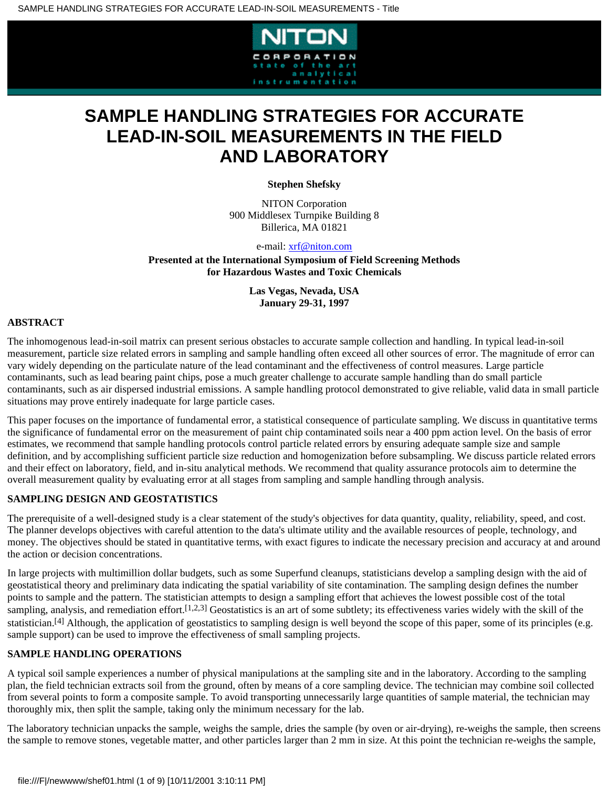

# **SAMPLE HANDLING STRATEGIES FOR ACCURATE LEAD-IN-SOIL MEASUREMENTS IN THE FIELD AND LABORATORY**

**Stephen Shefsky**

NITON Corporation 900 Middlesex Turnpike Building 8 Billerica, MA 01821

e-mail: [xrf@niton.com](mailto:xrf@niton.com)

**Presented at the International Symposium of Field Screening Methods for Hazardous Wastes and Toxic Chemicals**

> **Las Vegas, Nevada, USA January 29-31, 1997**

# **ABSTRACT**

The inhomogenous lead-in-soil matrix can present serious obstacles to accurate sample collection and handling. In typical lead-in-soil measurement, particle size related errors in sampling and sample handling often exceed all other sources of error. The magnitude of error can vary widely depending on the particulate nature of the lead contaminant and the effectiveness of control measures. Large particle contaminants, such as lead bearing paint chips, pose a much greater challenge to accurate sample handling than do small particle contaminants, such as air dispersed industrial emissions. A sample handling protocol demonstrated to give reliable, valid data in small particle situations may prove entirely inadequate for large particle cases.

This paper focuses on the importance of fundamental error, a statistical consequence of particulate sampling. We discuss in quantitative terms the significance of fundamental error on the measurement of paint chip contaminated soils near a 400 ppm action level. On the basis of error estimates, we recommend that sample handling protocols control particle related errors by ensuring adequate sample size and sample definition, and by accomplishing sufficient particle size reduction and homogenization before subsampling. We discuss particle related errors and their effect on laboratory, field, and in-situ analytical methods. We recommend that quality assurance protocols aim to determine the overall measurement quality by evaluating error at all stages from sampling and sample handling through analysis.

# **SAMPLING DESIGN AND GEOSTATISTICS**

The prerequisite of a well-designed study is a clear statement of the study's objectives for data quantity, quality, reliability, speed, and cost. The planner develops objectives with careful attention to the data's ultimate utility and the available resources of people, technology, and money. The objectives should be stated in quantitative terms, with exact figures to indicate the necessary precision and accuracy at and around the action or decision concentrations.

In large projects with multimillion dollar budgets, such as some Superfund cleanups, statisticians develop a sampling design with the aid of geostatistical theory and preliminary data indicating the spatial variability of site contamination. The sampling design defines the number points to sample and the pattern. The statistician attempts to design a sampling effort that achieves the lowest possible cost of the total sampling, analysis, and remediation effort.[1,2,3] Geostatistics is an art of some subtlety; its effectiveness varies widely with the skill of the statistician.<sup>[4]</sup> Although, the application of geostatistics to sampling design is well beyond the scope of this paper, some of its principles (e.g. sample support) can be used to improve the effectiveness of small sampling projects.

# **SAMPLE HANDLING OPERATIONS**

A typical soil sample experiences a number of physical manipulations at the sampling site and in the laboratory. According to the sampling plan, the field technician extracts soil from the ground, often by means of a core sampling device. The technician may combine soil collected from several points to form a composite sample. To avoid transporting unnecessarily large quantities of sample material, the technician may thoroughly mix, then split the sample, taking only the minimum necessary for the lab.

The laboratory technician unpacks the sample, weighs the sample, dries the sample (by oven or air-drying), re-weighs the sample, then screens the sample to remove stones, vegetable matter, and other particles larger than 2 mm in size. At this point the technician re-weighs the sample,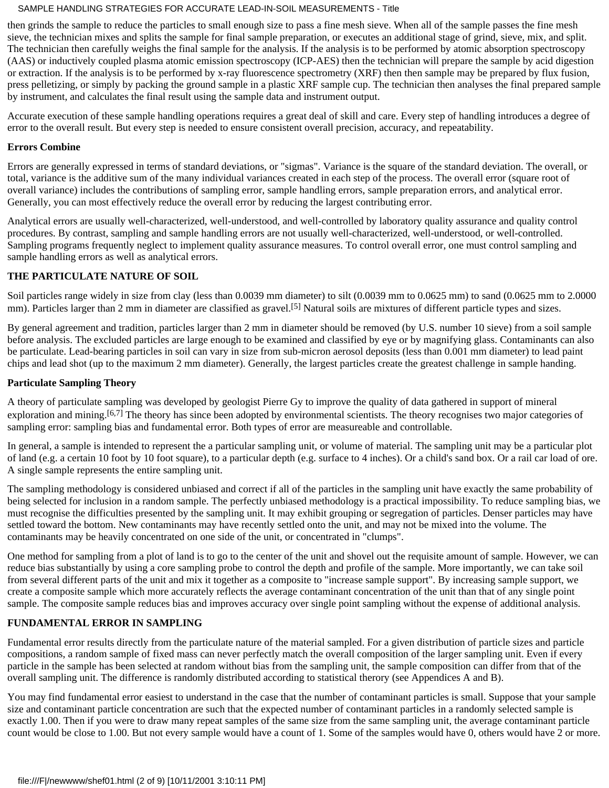then grinds the sample to reduce the particles to small enough size to pass a fine mesh sieve. When all of the sample passes the fine mesh sieve, the technician mixes and splits the sample for final sample preparation, or executes an additional stage of grind, sieve, mix, and split. The technician then carefully weighs the final sample for the analysis. If the analysis is to be performed by atomic absorption spectroscopy (AAS) or inductively coupled plasma atomic emission spectroscopy (ICP-AES) then the technician will prepare the sample by acid digestion or extraction. If the analysis is to be performed by x-ray fluorescence spectrometry (XRF) then then sample may be prepared by flux fusion, press pelletizing, or simply by packing the ground sample in a plastic XRF sample cup. The technician then analyses the final prepared sample by instrument, and calculates the final result using the sample data and instrument output.

Accurate execution of these sample handling operations requires a great deal of skill and care. Every step of handling introduces a degree of error to the overall result. But every step is needed to ensure consistent overall precision, accuracy, and repeatability.

#### **Errors Combine**

Errors are generally expressed in terms of standard deviations, or "sigmas". Variance is the square of the standard deviation. The overall, or total, variance is the additive sum of the many individual variances created in each step of the process. The overall error (square root of overall variance) includes the contributions of sampling error, sample handling errors, sample preparation errors, and analytical error. Generally, you can most effectively reduce the overall error by reducing the largest contributing error.

Analytical errors are usually well-characterized, well-understood, and well-controlled by laboratory quality assurance and quality control procedures. By contrast, sampling and sample handling errors are not usually well-characterized, well-understood, or well-controlled. Sampling programs frequently neglect to implement quality assurance measures. To control overall error, one must control sampling and sample handling errors as well as analytical errors.

#### **THE PARTICULATE NATURE OF SOIL**

Soil particles range widely in size from clay (less than 0.0039 mm diameter) to silt (0.0039 mm to 0.0625 mm) to sand (0.0625 mm to 2.0000 mm). Particles larger than 2 mm in diameter are classified as gravel.<sup>[5]</sup> Natural soils are mixtures of different particle types and sizes.

By general agreement and tradition, particles larger than 2 mm in diameter should be removed (by U.S. number 10 sieve) from a soil sample before analysis. The excluded particles are large enough to be examined and classified by eye or by magnifying glass. Contaminants can also be particulate. Lead-bearing particles in soil can vary in size from sub-micron aerosol deposits (less than 0.001 mm diameter) to lead paint chips and lead shot (up to the maximum 2 mm diameter). Generally, the largest particles create the greatest challenge in sample handing.

## **Particulate Sampling Theory**

A theory of particulate sampling was developed by geologist Pierre Gy to improve the quality of data gathered in support of mineral exploration and mining.<sup>[6,7]</sup> The theory has since been adopted by environmental scientists. The theory recognises two major categories of sampling error: sampling bias and fundamental error. Both types of error are measureable and controllable.

In general, a sample is intended to represent the a particular sampling unit, or volume of material. The sampling unit may be a particular plot of land (e.g. a certain 10 foot by 10 foot square), to a particular depth (e.g. surface to 4 inches). Or a child's sand box. Or a rail car load of ore. A single sample represents the entire sampling unit.

The sampling methodology is considered unbiased and correct if all of the particles in the sampling unit have exactly the same probability of being selected for inclusion in a random sample. The perfectly unbiased methodology is a practical impossibility. To reduce sampling bias, we must recognise the difficulties presented by the sampling unit. It may exhibit grouping or segregation of particles. Denser particles may have settled toward the bottom. New contaminants may have recently settled onto the unit, and may not be mixed into the volume. The contaminants may be heavily concentrated on one side of the unit, or concentrated in "clumps".

One method for sampling from a plot of land is to go to the center of the unit and shovel out the requisite amount of sample. However, we can reduce bias substantially by using a core sampling probe to control the depth and profile of the sample. More importantly, we can take soil from several different parts of the unit and mix it together as a composite to "increase sample support". By increasing sample support, we create a composite sample which more accurately reflects the average contaminant concentration of the unit than that of any single point sample. The composite sample reduces bias and improves accuracy over single point sampling without the expense of additional analysis.

#### **FUNDAMENTAL ERROR IN SAMPLING**

Fundamental error results directly from the particulate nature of the material sampled. For a given distribution of particle sizes and particle compositions, a random sample of fixed mass can never perfectly match the overall composition of the larger sampling unit. Even if every particle in the sample has been selected at random without bias from the sampling unit, the sample composition can differ from that of the overall sampling unit. The difference is randomly distributed according to statistical therory (see Appendices A and B).

You may find fundamental error easiest to understand in the case that the number of contaminant particles is small. Suppose that your sample size and contaminant particle concentration are such that the expected number of contaminant particles in a randomly selected sample is exactly 1.00. Then if you were to draw many repeat samples of the same size from the same sampling unit, the average contaminant particle count would be close to 1.00. But not every sample would have a count of 1. Some of the samples would have 0, others would have 2 or more.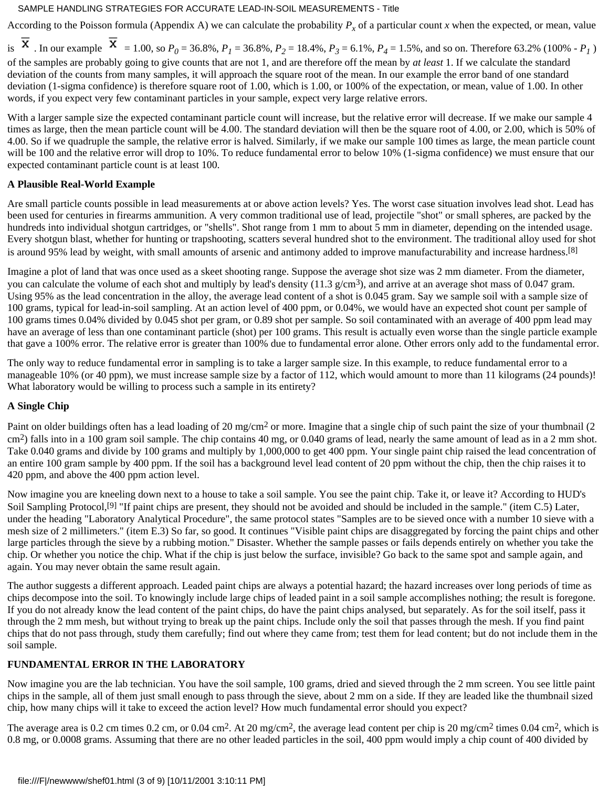According to the Poisson formula (Appendix A) we can calculate the probability  $P_x$  of a particular count *x* when the expected, or mean, value

is  $\overline{X}$ . In our example  $\overline{X}$  = 1.00, so  $P_0 = 36.8\%$ ,  $P_1 = 36.8\%$ ,  $P_2 = 18.4\%$ ,  $P_3 = 6.1\%$ ,  $P_4 = 1.5\%$ , and so on. Therefore 63.2% (100% -  $P_1$ ) of the samples are probably going to give counts that are not 1, and are therefore off the mean by *at least* 1. If we calculate the standard deviation of the counts from many samples, it will approach the square root of the mean. In our example the error band of one standard deviation (1-sigma confidence) is therefore square root of 1.00, which is 1.00, or 100% of the expectation, or mean, value of 1.00. In other words, if you expect very few contaminant particles in your sample, expect very large relative errors.

With a larger sample size the expected contaminant particle count will increase, but the relative error will decrease. If we make our sample 4 times as large, then the mean particle count will be 4.00. The standard deviation will then be the square root of 4.00, or 2.00, which is 50% of 4.00. So if we quadruple the sample, the relative error is halved. Similarly, if we make our sample 100 times as large, the mean particle count will be 100 and the relative error will drop to 10%. To reduce fundamental error to below 10% (1-sigma confidence) we must ensure that our expected contaminant particle count is at least 100.

## **A Plausible Real-World Example**

Are small particle counts possible in lead measurements at or above action levels? Yes. The worst case situation involves lead shot. Lead has been used for centuries in firearms ammunition. A very common traditional use of lead, projectile "shot" or small spheres, are packed by the hundreds into individual shotgun cartridges, or "shells". Shot range from 1 mm to about 5 mm in diameter, depending on the intended usage. Every shotgun blast, whether for hunting or trapshooting, scatters several hundred shot to the environment. The traditional alloy used for shot is around 95% lead by weight, with small amounts of arsenic and antimony added to improve manufacturability and increase hardness.<sup>[8]</sup>

Imagine a plot of land that was once used as a skeet shooting range. Suppose the average shot size was 2 mm diameter. From the diameter, you can calculate the volume of each shot and multiply by lead's density  $(11.3 \text{ g/cm}^3)$ , and arrive at an average shot mass of 0.047 gram. Using 95% as the lead concentration in the alloy, the average lead content of a shot is 0.045 gram. Say we sample soil with a sample size of 100 grams, typical for lead-in-soil sampling. At an action level of 400 ppm, or 0.04%, we would have an expected shot count per sample of 100 grams times 0.04% divided by 0.045 shot per gram, or 0.89 shot per sample. So soil contaminated with an average of 400 ppm lead may have an average of less than one contaminant particle (shot) per 100 grams. This result is actually even worse than the single particle example that gave a 100% error. The relative error is greater than 100% due to fundamental error alone. Other errors only add to the fundamental error.

The only way to reduce fundamental error in sampling is to take a larger sample size. In this example, to reduce fundamental error to a manageable 10% (or 40 ppm), we must increase sample size by a factor of 112, which would amount to more than 11 kilograms (24 pounds)! What laboratory would be willing to process such a sample in its entirety?

#### **A Single Chip**

Paint on older buildings often has a lead loading of 20 mg/cm<sup>2</sup> or more. Imagine that a single chip of such paint the size of your thumbnail (2) cm<sup>2</sup>) falls into in a 100 gram soil sample. The chip contains 40 mg, or 0.040 grams of lead, nearly the same amount of lead as in a 2 mm shot. Take 0.040 grams and divide by 100 grams and multiply by 1,000,000 to get 400 ppm. Your single paint chip raised the lead concentration of an entire 100 gram sample by 400 ppm. If the soil has a background level lead content of 20 ppm without the chip, then the chip raises it to 420 ppm, and above the 400 ppm action level.

Now imagine you are kneeling down next to a house to take a soil sample. You see the paint chip. Take it, or leave it? According to HUD's Soil Sampling Protocol,<sup>[9]</sup> "If paint chips are present, they should not be avoided and should be included in the sample." (item C.5) Later, under the heading "Laboratory Analytical Procedure", the same protocol states "Samples are to be sieved once with a number 10 sieve with a mesh size of 2 millimeters." (item E.3) So far, so good. It continues "Visible paint chips are disaggregated by forcing the paint chips and other large particles through the sieve by a rubbing motion." Disaster. Whether the sample passes or fails depends entirely on whether you take the chip. Or whether you notice the chip. What if the chip is just below the surface, invisible? Go back to the same spot and sample again, and again. You may never obtain the same result again.

The author suggests a different approach. Leaded paint chips are always a potential hazard; the hazard increases over long periods of time as chips decompose into the soil. To knowingly include large chips of leaded paint in a soil sample accomplishes nothing; the result is foregone. If you do not already know the lead content of the paint chips, do have the paint chips analysed, but separately. As for the soil itself, pass it through the 2 mm mesh, but without trying to break up the paint chips. Include only the soil that passes through the mesh. If you find paint chips that do not pass through, study them carefully; find out where they came from; test them for lead content; but do not include them in the soil sample.

# **FUNDAMENTAL ERROR IN THE LABORATORY**

Now imagine you are the lab technician. You have the soil sample, 100 grams, dried and sieved through the 2 mm screen. You see little paint chips in the sample, all of them just small enough to pass through the sieve, about 2 mm on a side. If they are leaded like the thumbnail sized chip, how many chips will it take to exceed the action level? How much fundamental error should you expect?

The average area is 0.2 cm times 0.2 cm, or 0.04 cm<sup>2</sup>. At 20 mg/cm<sup>2</sup>, the average lead content per chip is 20 mg/cm<sup>2</sup> times 0.04 cm<sup>2</sup>, which is 0.8 mg, or 0.0008 grams. Assuming that there are no other leaded particles in the soil, 400 ppm would imply a chip count of 400 divided by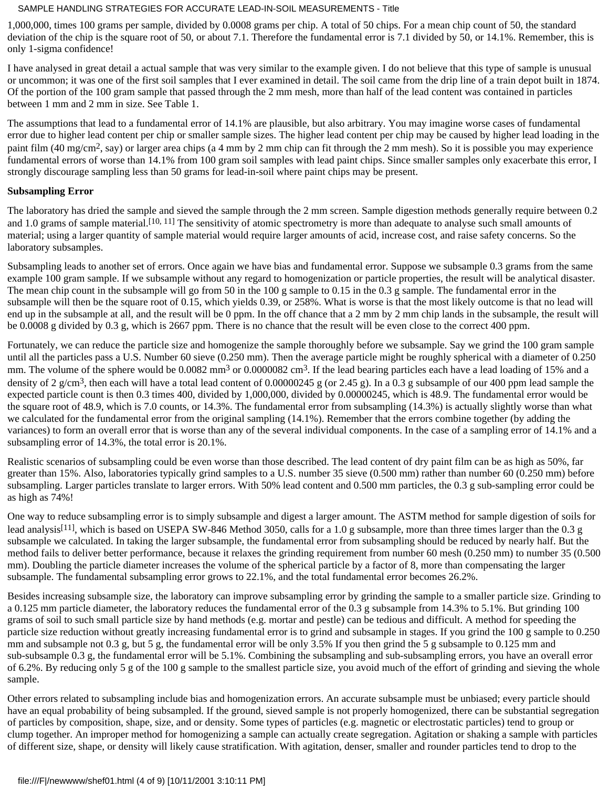1,000,000, times 100 grams per sample, divided by 0.0008 grams per chip. A total of 50 chips. For a mean chip count of 50, the standard deviation of the chip is the square root of 50, or about 7.1. Therefore the fundamental error is 7.1 divided by 50, or 14.1%. Remember, this is only 1-sigma confidence!

I have analysed in great detail a actual sample that was very similar to the example given. I do not believe that this type of sample is unusual or uncommon; it was one of the first soil samples that I ever examined in detail. The soil came from the drip line of a train depot built in 1874. Of the portion of the 100 gram sample that passed through the 2 mm mesh, more than half of the lead content was contained in particles between 1 mm and 2 mm in size. See Table 1.

The assumptions that lead to a fundamental error of 14.1% are plausible, but also arbitrary. You may imagine worse cases of fundamental error due to higher lead content per chip or smaller sample sizes. The higher lead content per chip may be caused by higher lead loading in the paint film (40 mg/cm<sup>2</sup>, say) or larger area chips (a 4 mm by 2 mm chip can fit through the 2 mm mesh). So it is possible you may experience fundamental errors of worse than 14.1% from 100 gram soil samples with lead paint chips. Since smaller samples only exacerbate this error, I strongly discourage sampling less than 50 grams for lead-in-soil where paint chips may be present.

## **Subsampling Error**

The laboratory has dried the sample and sieved the sample through the 2 mm screen. Sample digestion methods generally require between 0.2 and 1.0 grams of sample material.<sup>[10, 11]</sup> The sensitivity of atomic spectrometry is more than adequate to analyse such small amounts of material; using a larger quantity of sample material would require larger amounts of acid, increase cost, and raise safety concerns. So the laboratory subsamples.

Subsampling leads to another set of errors. Once again we have bias and fundamental error. Suppose we subsample 0.3 grams from the same example 100 gram sample. If we subsample without any regard to homogenization or particle properties, the result will be analytical disaster. The mean chip count in the subsample will go from 50 in the 100 g sample to 0.15 in the 0.3 g sample. The fundamental error in the subsample will then be the square root of 0.15, which yields 0.39, or 258%. What is worse is that the most likely outcome is that no lead will end up in the subsample at all, and the result will be 0 ppm. In the off chance that a 2 mm by 2 mm chip lands in the subsample, the result will be 0.0008 g divided by 0.3 g, which is 2667 ppm. There is no chance that the result will be even close to the correct 400 ppm.

Fortunately, we can reduce the particle size and homogenize the sample thoroughly before we subsample. Say we grind the 100 gram sample until all the particles pass a U.S. Number 60 sieve (0.250 mm). Then the average particle might be roughly spherical with a diameter of 0.250 mm. The volume of the sphere would be 0.0082 mm<sup>3</sup> or 0.0000082 cm<sup>3</sup>. If the lead bearing particles each have a lead loading of 15% and a density of 2 g/cm<sup>3</sup>, then each will have a total lead content of 0.00000245 g (or 2.45 g). In a 0.3 g subsample of our 400 ppm lead sample the expected particle count is then 0.3 times 400, divided by 1,000,000, divided by 0.00000245, which is 48.9. The fundamental error would be the square root of 48.9, which is 7.0 counts, or 14.3%. The fundamental error from subsampling (14.3%) is actually slightly worse than what we calculated for the fundamental error from the original sampling (14.1%). Remember that the errors combine together (by adding the variances) to form an overall error that is worse than any of the several individual components. In the case of a sampling error of 14.1% and a subsampling error of 14.3%, the total error is 20.1%.

Realistic scenarios of subsampling could be even worse than those described. The lead content of dry paint film can be as high as 50%, far greater than 15%. Also, laboratories typically grind samples to a U.S. number 35 sieve (0.500 mm) rather than number 60 (0.250 mm) before subsampling. Larger particles translate to larger errors. With 50% lead content and 0.500 mm particles, the 0.3 g sub-sampling error could be as high as 74%!

One way to reduce subsampling error is to simply subsample and digest a larger amount. The ASTM method for sample digestion of soils for lead analysis<sup>[11]</sup>, which is based on USEPA SW-846 Method 3050, calls for a 1.0 g subsample, more than three times larger than the 0.3 g subsample we calculated. In taking the larger subsample, the fundamental error from subsampling should be reduced by nearly half. But the method fails to deliver better performance, because it relaxes the grinding requirement from number 60 mesh (0.250 mm) to number 35 (0.500 mm). Doubling the particle diameter increases the volume of the spherical particle by a factor of 8, more than compensating the larger subsample. The fundamental subsampling error grows to 22.1%, and the total fundamental error becomes 26.2%.

Besides increasing subsample size, the laboratory can improve subsampling error by grinding the sample to a smaller particle size. Grinding to a 0.125 mm particle diameter, the laboratory reduces the fundamental error of the 0.3 g subsample from 14.3% to 5.1%. But grinding 100 grams of soil to such small particle size by hand methods (e.g. mortar and pestle) can be tedious and difficult. A method for speeding the particle size reduction without greatly increasing fundamental error is to grind and subsample in stages. If you grind the 100 g sample to 0.250 mm and subsample not 0.3 g, but 5 g, the fundamental error will be only 3.5% If you then grind the 5 g subsample to 0.125 mm and sub-subsample 0.3 g, the fundamental error will be 5.1%. Combining the subsampling and sub-subsampling errors, you have an overall error of 6.2%. By reducing only 5 g of the 100 g sample to the smallest particle size, you avoid much of the effort of grinding and sieving the whole sample.

Other errors related to subsampling include bias and homogenization errors. An accurate subsample must be unbiased; every particle should have an equal probability of being subsampled. If the ground, sieved sample is not properly homogenized, there can be substantial segregation of particles by composition, shape, size, and or density. Some types of particles (e.g. magnetic or electrostatic particles) tend to group or clump together. An improper method for homogenizing a sample can actually create segregation. Agitation or shaking a sample with particles of different size, shape, or density will likely cause stratification. With agitation, denser, smaller and rounder particles tend to drop to the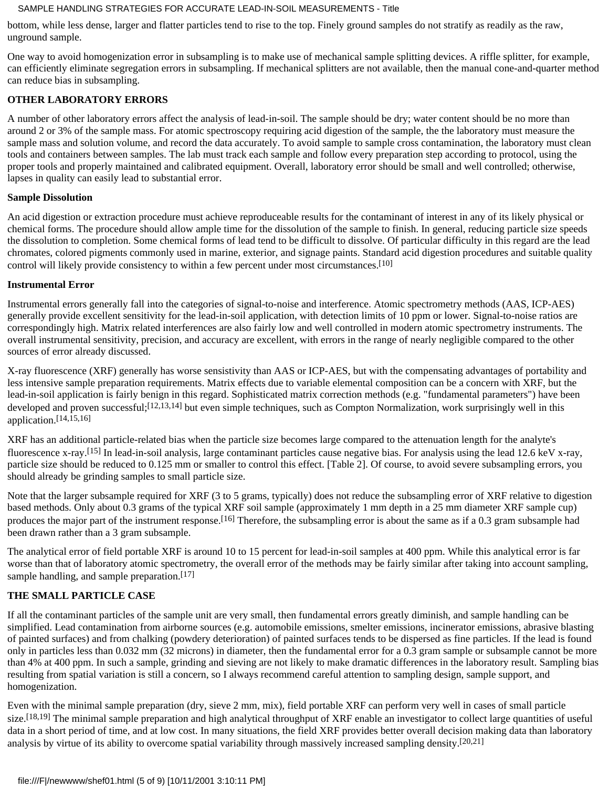bottom, while less dense, larger and flatter particles tend to rise to the top. Finely ground samples do not stratify as readily as the raw, unground sample.

One way to avoid homogenization error in subsampling is to make use of mechanical sample splitting devices. A riffle splitter, for example, can efficiently eliminate segregation errors in subsampling. If mechanical splitters are not available, then the manual cone-and-quarter method can reduce bias in subsampling.

# **OTHER LABORATORY ERRORS**

A number of other laboratory errors affect the analysis of lead-in-soil. The sample should be dry; water content should be no more than around 2 or 3% of the sample mass. For atomic spectroscopy requiring acid digestion of the sample, the the laboratory must measure the sample mass and solution volume, and record the data accurately. To avoid sample to sample cross contamination, the laboratory must clean tools and containers between samples. The lab must track each sample and follow every preparation step according to protocol, using the proper tools and properly maintained and calibrated equipment. Overall, laboratory error should be small and well controlled; otherwise, lapses in quality can easily lead to substantial error.

## **Sample Dissolution**

An acid digestion or extraction procedure must achieve reproduceable results for the contaminant of interest in any of its likely physical or chemical forms. The procedure should allow ample time for the dissolution of the sample to finish. In general, reducing particle size speeds the dissolution to completion. Some chemical forms of lead tend to be difficult to dissolve. Of particular difficulty in this regard are the lead chromates, colored pigments commonly used in marine, exterior, and signage paints. Standard acid digestion procedures and suitable quality control will likely provide consistency to within a few percent under most circumstances.[10]

# **Instrumental Error**

Instrumental errors generally fall into the categories of signal-to-noise and interference. Atomic spectrometry methods (AAS, ICP-AES) generally provide excellent sensitivity for the lead-in-soil application, with detection limits of 10 ppm or lower. Signal-to-noise ratios are correspondingly high. Matrix related interferences are also fairly low and well controlled in modern atomic spectrometry instruments. The overall instrumental sensitivity, precision, and accuracy are excellent, with errors in the range of nearly negligible compared to the other sources of error already discussed.

X-ray fluorescence (XRF) generally has worse sensistivity than AAS or ICP-AES, but with the compensating advantages of portability and less intensive sample preparation requirements. Matrix effects due to variable elemental composition can be a concern with XRF, but the lead-in-soil application is fairly benign in this regard. Sophisticated matrix correction methods (e.g. "fundamental parameters") have been developed and proven successful;<sup>[12,13,14]</sup> but even simple techniques, such as Compton Normalization, work surprisingly well in this application.[14,15,16]

XRF has an additional particle-related bias when the particle size becomes large compared to the attenuation length for the analyte's fluorescence x-ray.[15] In lead-in-soil analysis, large contaminant particles cause negative bias. For analysis using the lead 12.6 keV x-ray, particle size should be reduced to 0.125 mm or smaller to control this effect. [Table 2]. Of course, to avoid severe subsampling errors, you should already be grinding samples to small particle size.

Note that the larger subsample required for XRF (3 to 5 grams, typically) does not reduce the subsampling error of XRF relative to digestion based methods. Only about 0.3 grams of the typical XRF soil sample (approximately 1 mm depth in a 25 mm diameter XRF sample cup) produces the major part of the instrument response.<sup>[16]</sup> Therefore, the subsampling error is about the same as if a 0.3 gram subsample had been drawn rather than a 3 gram subsample.

The analytical error of field portable XRF is around 10 to 15 percent for lead-in-soil samples at 400 ppm. While this analytical error is far worse than that of laboratory atomic spectrometry, the overall error of the methods may be fairly similar after taking into account sampling, sample handling, and sample preparation.<sup>[17]</sup>

# **THE SMALL PARTICLE CASE**

If all the contaminant particles of the sample unit are very small, then fundamental errors greatly diminish, and sample handling can be simplified. Lead contamination from airborne sources (e.g. automobile emissions, smelter emissions, incinerator emissions, abrasive blasting of painted surfaces) and from chalking (powdery deterioration) of painted surfaces tends to be dispersed as fine particles. If the lead is found only in particles less than 0.032 mm (32 microns) in diameter, then the fundamental error for a 0.3 gram sample or subsample cannot be more than 4% at 400 ppm. In such a sample, grinding and sieving are not likely to make dramatic differences in the laboratory result. Sampling bias resulting from spatial variation is still a concern, so I always recommend careful attention to sampling design, sample support, and homogenization.

Even with the minimal sample preparation (dry, sieve 2 mm, mix), field portable XRF can perform very well in cases of small particle size.<sup>[18,19]</sup> The minimal sample preparation and high analytical throughput of XRF enable an investigator to collect large quantities of useful data in a short period of time, and at low cost. In many situations, the field XRF provides better overall decision making data than laboratory analysis by virtue of its ability to overcome spatial variability through massively increased sampling density.[20,21]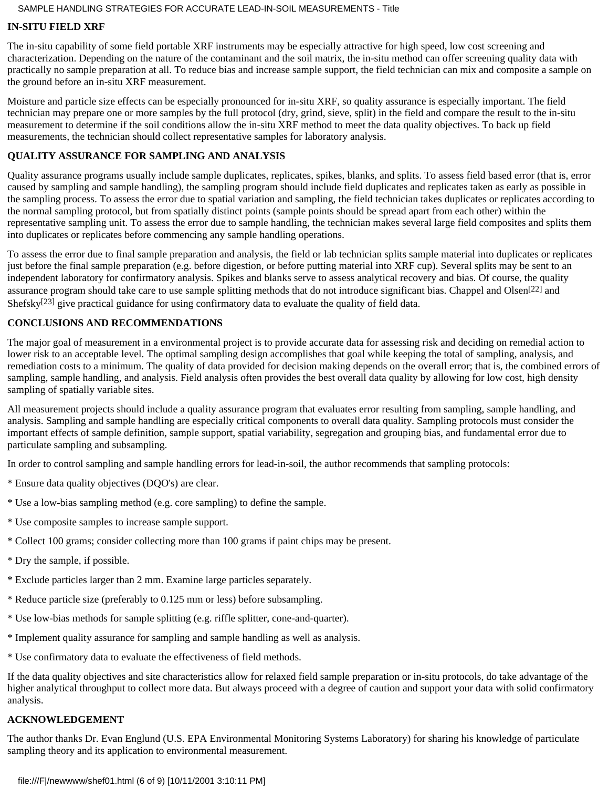# **IN-SITU FIELD XRF**

The in-situ capability of some field portable XRF instruments may be especially attractive for high speed, low cost screening and characterization. Depending on the nature of the contaminant and the soil matrix, the in-situ method can offer screening quality data with practically no sample preparation at all. To reduce bias and increase sample support, the field technician can mix and composite a sample on the ground before an in-situ XRF measurement.

Moisture and particle size effects can be especially pronounced for in-situ XRF, so quality assurance is especially important. The field technician may prepare one or more samples by the full protocol (dry, grind, sieve, split) in the field and compare the result to the in-situ measurement to determine if the soil conditions allow the in-situ XRF method to meet the data quality objectives. To back up field measurements, the technician should collect representative samples for laboratory analysis.

# **QUALITY ASSURANCE FOR SAMPLING AND ANALYSIS**

Quality assurance programs usually include sample duplicates, replicates, spikes, blanks, and splits. To assess field based error (that is, error caused by sampling and sample handling), the sampling program should include field duplicates and replicates taken as early as possible in the sampling process. To assess the error due to spatial variation and sampling, the field technician takes duplicates or replicates according to the normal sampling protocol, but from spatially distinct points (sample points should be spread apart from each other) within the representative sampling unit. To assess the error due to sample handling, the technician makes several large field composites and splits them into duplicates or replicates before commencing any sample handling operations.

To assess the error due to final sample preparation and analysis, the field or lab technician splits sample material into duplicates or replicates just before the final sample preparation (e.g. before digestion, or before putting material into XRF cup). Several splits may be sent to an independent laboratory for confirmatory analysis. Spikes and blanks serve to assess analytical recovery and bias. Of course, the quality assurance program should take care to use sample splitting methods that do not introduce significant bias. Chappel and Olsen[22] and Shefsky $[23]$  give practical guidance for using confirmatory data to evaluate the quality of field data.

# **CONCLUSIONS AND RECOMMENDATIONS**

The major goal of measurement in a environmental project is to provide accurate data for assessing risk and deciding on remedial action to lower risk to an acceptable level. The optimal sampling design accomplishes that goal while keeping the total of sampling, analysis, and remediation costs to a minimum. The quality of data provided for decision making depends on the overall error; that is, the combined errors of sampling, sample handling, and analysis. Field analysis often provides the best overall data quality by allowing for low cost, high density sampling of spatially variable sites.

All measurement projects should include a quality assurance program that evaluates error resulting from sampling, sample handling, and analysis. Sampling and sample handling are especially critical components to overall data quality. Sampling protocols must consider the important effects of sample definition, sample support, spatial variability, segregation and grouping bias, and fundamental error due to particulate sampling and subsampling.

In order to control sampling and sample handling errors for lead-in-soil, the author recommends that sampling protocols:

- \* Ensure data quality objectives (DQO's) are clear.
- \* Use a low-bias sampling method (e.g. core sampling) to define the sample.
- \* Use composite samples to increase sample support.
- \* Collect 100 grams; consider collecting more than 100 grams if paint chips may be present.
- \* Dry the sample, if possible.
- \* Exclude particles larger than 2 mm. Examine large particles separately.
- \* Reduce particle size (preferably to 0.125 mm or less) before subsampling.
- \* Use low-bias methods for sample splitting (e.g. riffle splitter, cone-and-quarter).
- \* Implement quality assurance for sampling and sample handling as well as analysis.
- \* Use confirmatory data to evaluate the effectiveness of field methods.

If the data quality objectives and site characteristics allow for relaxed field sample preparation or in-situ protocols, do take advantage of the higher analytical throughput to collect more data. But always proceed with a degree of caution and support your data with solid confirmatory analysis.

# **ACKNOWLEDGEMENT**

The author thanks Dr. Evan Englund (U.S. EPA Environmental Monitoring Systems Laboratory) for sharing his knowledge of particulate sampling theory and its application to environmental measurement.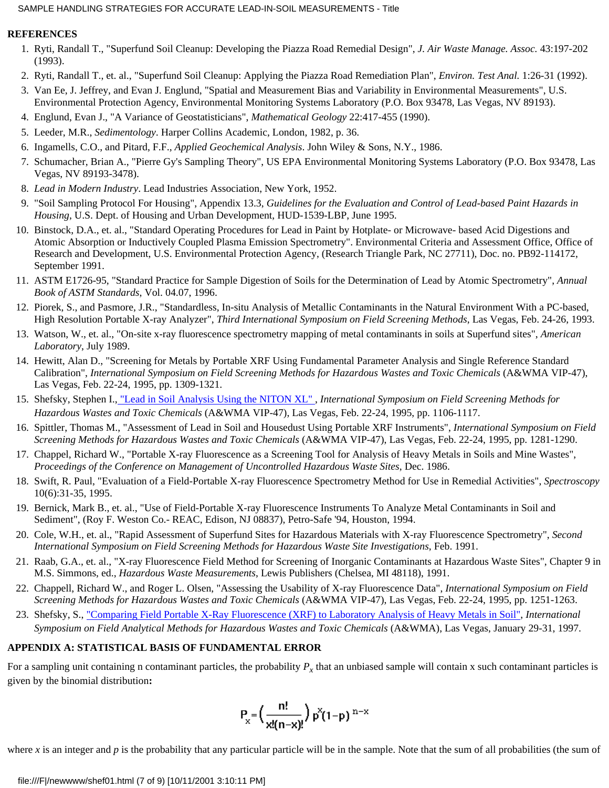## **REFERENCES**

- 1. Ryti, Randall T., "Superfund Soil Cleanup: Developing the Piazza Road Remedial Design", *J. Air Waste Manage. Assoc.* 43:197-202 (1993).
- 2. Ryti, Randall T., et. al., "Superfund Soil Cleanup: Applying the Piazza Road Remediation Plan", *Environ. Test Anal.* 1:26-31 (1992).
- 3. Van Ee, J. Jeffrey, and Evan J. Englund, "Spatial and Measurement Bias and Variability in Environmental Measurements", U.S. Environmental Protection Agency, Environmental Monitoring Systems Laboratory (P.O. Box 93478, Las Vegas, NV 89193).
- 4. Englund, Evan J., "A Variance of Geostatisticians", *Mathematical Geology* 22:417-455 (1990).
- 5. Leeder, M.R., *Sedimentology*. Harper Collins Academic, London, 1982, p. 36.
- 6. Ingamells, C.O., and Pitard, F.F., *Applied Geochemical Analysis*. John Wiley & Sons, N.Y., 1986.
- 7. Schumacher, Brian A., "Pierre Gy's Sampling Theory", US EPA Environmental Monitoring Systems Laboratory (P.O. Box 93478, Las Vegas, NV 89193-3478).
- 8. *Lead in Modern Industry*. Lead Industries Association, New York, 1952.
- "Soil Sampling Protocol For Housing", Appendix 13.3, *Guidelines for the Evaluation and Control of Lead-based Paint Hazards in* 9. *Housing*, U.S. Dept. of Housing and Urban Development, HUD-1539-LBP, June 1995.
- 10. Binstock, D.A., et. al., "Standard Operating Procedures for Lead in Paint by Hotplate- or Microwave- based Acid Digestions and Atomic Absorption or Inductively Coupled Plasma Emission Spectrometry". Environmental Criteria and Assessment Office, Office of Research and Development, U.S. Environmental Protection Agency, (Research Triangle Park, NC 27711), Doc. no. PB92-114172, September 1991.
- 11. ASTM E1726-95, "Standard Practice for Sample Digestion of Soils for the Determination of Lead by Atomic Spectrometry", *Annual Book of ASTM Standards*, Vol. 04.07, 1996.
- 12. Piorek, S., and Pasmore, J.R., "Standardless, In-situ Analysis of Metallic Contaminants in the Natural Environment With a PC-based, High Resolution Portable X-ray Analyzer", *Third International Symposium on Field Screening Methods*, Las Vegas, Feb. 24-26, 1993.
- 13. Watson, W., et. al., "On-site x-ray fluorescence spectrometry mapping of metal contaminants in soils at Superfund sites", *American Laboratory*, July 1989.
- 14. Hewitt, Alan D., "Screening for Metals by Portable XRF Using Fundamental Parameter Analysis and Single Reference Standard Calibration", *International Symposium on Field Screening Methods for Hazardous Wastes and Toxic Chemicals* (A&WMA VIP-47), Las Vegas, Feb. 22-24, 1995, pp. 1309-1321.
- 15. Shefsky, Stephen I.[, "Lead in Soil Analysis Using the NITON XL"](file:///F|/newwww/shef00.html), *International Symposium on Field Screening Methods for Hazardous Wastes and Toxic Chemicals* (A&WMA VIP-47), Las Vegas, Feb. 22-24, 1995, pp. 1106-1117.
- 16. Spittler, Thomas M., "Assessment of Lead in Soil and Housedust Using Portable XRF Instruments", *International Symposium on Field Screening Methods for Hazardous Wastes and Toxic Chemicals* (A&WMA VIP-47), Las Vegas, Feb. 22-24, 1995, pp. 1281-1290.
- 17. Chappel, Richard W., "Portable X-ray Fluorescence as a Screening Tool for Analysis of Heavy Metals in Soils and Mine Wastes", *Proceedings of the Conference on Management of Uncontrolled Hazardous Waste Sites*, Dec. 1986.
- 18. Swift, R. Paul, "Evaluation of a Field-Portable X-ray Fluorescence Spectrometry Method for Use in Remedial Activities", Spectroscopy 10(6):31-35, 1995.
- 19. Bernick, Mark B., et. al., "Use of Field-Portable X-ray Fluorescence Instruments To Analyze Metal Contaminants in Soil and Sediment", (Roy F. Weston Co.- REAC, Edison, NJ 08837), Petro-Safe '94, Houston, 1994.
- 20. Cole, W.H., et. al., "Rapid Assessment of Superfund Sites for Hazardous Materials with X-ray Fluorescence Spectrometry", Second *International Symposium on Field Screening Methods for Hazardous Waste Site Investigations*, Feb. 1991.
- 21. Raab, G.A., et. al., "X-ray Fluorescence Field Method for Screening of Inorganic Contaminants at Hazardous Waste Sites", Chapter 9 in M.S. Simmons, ed., *Hazardous Waste Measurements*, Lewis Publishers (Chelsea, MI 48118), 1991.
- 22. Chappell, Richard W., and Roger L. Olsen, "Assessing the Usability of X-ray Fluorescence Data", *International Symposium on Field Screening Methods for Hazardous Wastes and Toxic Chemicals* (A&WMA VIP-47), Las Vegas, Feb. 22-24, 1995, pp. 1251-1263.
- 23. Shefsky, S., <u>["Comparing Field Portable X-Ray Fluorescence \(XRF\) to Laboratory Analysis of Heavy Metals in Soil"](file:///F|/newwww/shef02.html), *International*</u> *Symposium on Field Analytical Methods for Hazardous Wastes and Toxic Chemicals* (A&WMA), Las Vegas, January 29-31, 1997.

# **APPENDIX A: STATISTICAL BASIS OF FUNDAMENTAL ERROR**

For a sampling unit containing n contaminant particles, the probability  $P_x$  that an unbiased sample will contain x such contaminant particles is given by the binomial distribution**:**

$$
P_x = \left(\frac{n!}{x!(n-x)!}\right) p^x (1-p)^{n-x}
$$

where  $x$  is an integer and  $p$  is the probability that any particular particle will be in the sample. Note that the sum of all probabilities (the sum of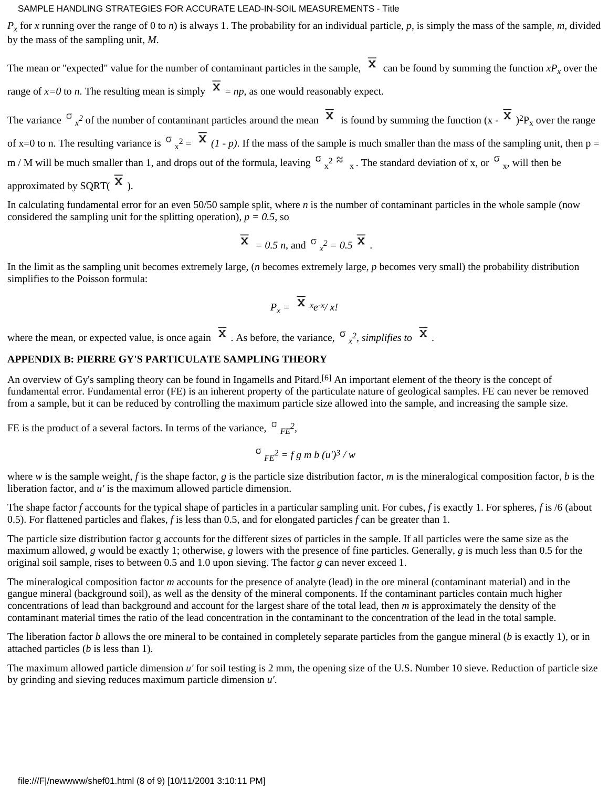$P_x$  for x running over the range of 0 to *n*) is always 1. The probability for an individual particle, p, is simply the mass of the sample, m, divided by the mass of the sampling unit, *M*.

The mean or "expected" value for the number of contaminant particles in the sample,  $\overline{X}$  can be found by summing the function  $xP_x$  over the range of  $x=0$  to *n*. The resulting mean is simply  $\overline{X} = np$ , as one would reasonably expect.

The variance  $\sigma_{x^2}$  of the number of contaminant particles around the mean  $\sigma_{x}$  is found by summing the function  $(x - \sigma_{x})^2 P_{x}$  over the range of x=0 to n. The resulting variance is  $\sigma_x^2 = \sigma_1$  (1 - p). If the mass of the sample is much smaller than the mass of the sampling unit, then p = m / M will be much smaller than 1, and drops out of the formula, leaving  $\sigma_{x^2} \approx \sigma_{x}$ . The standard deviation of x, or  $\sigma_{x}$ , will then be approximated by SQRT( $\overline{X}$ ).

In calculating fundamental error for an even 50/50 sample split, where *n* is the number of contaminant particles in the whole sample (now considered the sampling unit for the splitting operation),  $p = 0.5$ , so

$$
\overline{\mathbf{X}} = 0.5 \, n
$$
, and  $\sigma_x^2 = 0.5 \, \overline{\mathbf{X}}$ .

In the limit as the sampling unit becomes extremely large, (*n* becomes extremely large, *p* becomes very small) the probability distribution simplifies to the Poisson formula:

$$
P_x = \overline{\mathbf{X}} \ x e^{-x}/x!
$$

where the mean, or expected value, is once again  $\lambda$ . As before, the variance,  $\sigma_{x^2}^2$ , *simplifies to*  $\lambda$ .

## **APPENDIX B: PIERRE GY'S PARTICULATE SAMPLING THEORY**

An overview of Gy's sampling theory can be found in Ingamells and Pitard.<sup>[6]</sup> An important element of the theory is the concept of fundamental error. Fundamental error (FE) is an inherent property of the particulate nature of geological samples. FE can never be removed from a sample, but it can be reduced by controlling the maximum particle size allowed into the sample, and increasing the sample size.

FE is the product of a several factors. In terms of the variance,  $\sigma_{FE}^2$ ,

$$
\sigma_{FE}^2 = f g m b (u')^3 / w
$$

where *w* is the sample weight, *f* is the shape factor, *g* is the particle size distribution factor, *m* is the mineralogical composition factor, *b* is the liberation factor, and *u'* is the maximum allowed particle dimension.

The shape factor *f* accounts for the typical shape of particles in a particular sampling unit. For cubes, *f* is exactly 1. For spheres, *f* is /6 (about 0.5). For flattened particles and flakes, *f* is less than 0.5, and for elongated particles *f* can be greater than 1.

The particle size distribution factor g accounts for the different sizes of particles in the sample. If all particles were the same size as the maximum allowed, *g* would be exactly 1; otherwise, *g* lowers with the presence of fine particles. Generally, *g* is much less than 0.5 for the original soil sample, rises to between 0.5 and 1.0 upon sieving. The factor *g* can never exceed 1.

The mineralogical composition factor *m* accounts for the presence of analyte (lead) in the ore mineral (contaminant material) and in the gangue mineral (background soil), as well as the density of the mineral components. If the contaminant particles contain much higher concentrations of lead than background and account for the largest share of the total lead, then *m* is approximately the density of the contaminant material times the ratio of the lead concentration in the contaminant to the concentration of the lead in the total sample.

The liberation factor *b* allows the ore mineral to be contained in completely separate particles from the gangue mineral (*b* is exactly 1), or in attached particles (*b* is less than 1).

The maximum allowed particle dimension *u'* for soil testing is 2 mm, the opening size of the U.S. Number 10 sieve. Reduction of particle size by grinding and sieving reduces maximum particle dimension *u'*.